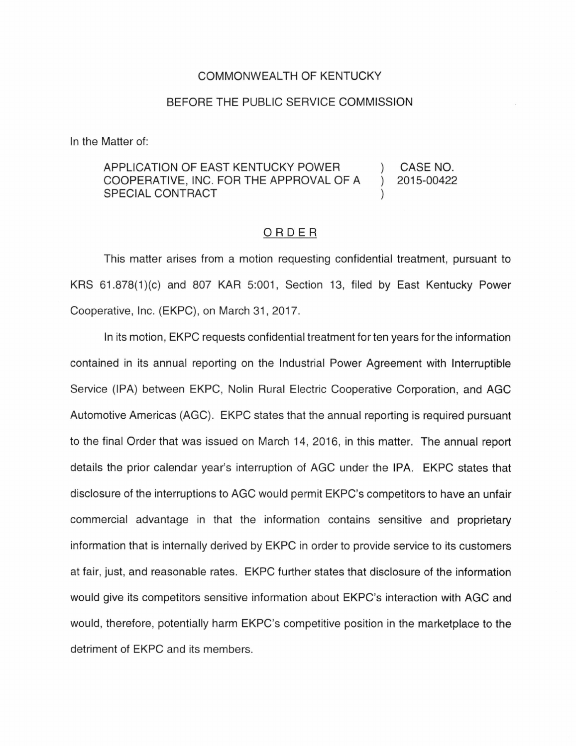## COMMONWEALTH OF KENTUCKY

## BEFORE THE PUBLIC SERVICE COMMISSION

In the Matter of:

## APPLICATION OF EAST KENTUCKY POWER CASE NO. COOPERATIVE, INC. FOR THE APPROVAL OF A  $\lambda$ 2015-00422 SPECIAL CONTRACT

## ORDER

This matter arises from a motion requesting confidential treatment, pursuant to KRS 61.878(1)(c) and 807 KAR 5:001, Section 13, filed by East Kentucky Power Cooperative, Inc. (EKPC), on March 31 , 2017.

In its motion, EKPC requests confidential treatment for ten years for the information contained in its annual reporting on the Industrial Power Agreement with Interruptible Service (IPA) between EKPC, Nolin Rural Electric Cooperative Corporation, and AGC Automotive Americas (AGC). EKPC states that the annual reporting is required pursuant to the final Order that was issued on March 14, 2016, in this matter. The annual report details the prior calendar year's interruption of AGC under the IPA. EKPC states that disclosure of the interruptions to AGC would permit EKPC's competitors to have an unfair commercial advantage in that the information contains sensitive and proprietary information that is internally derived by EKPC in order to provide service to its customers at fair, just, and reasonable rates. EKPC further states that disclosure of the information would give its competitors sensitive information about EKPC's interaction with AGC and would, therefore, potentially harm EKPC's competitive position in the marketplace to the detriment of EKPC and its members.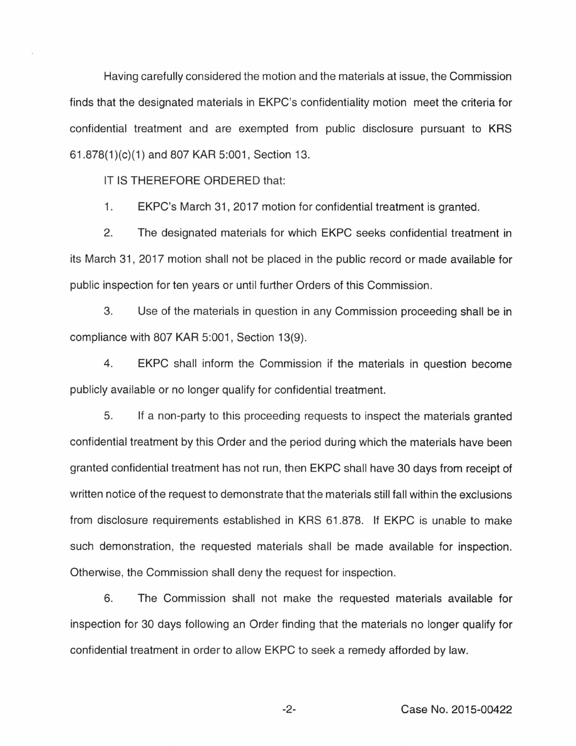Having carefully considered the motion and the materials at issue, the Commission finds that the designated materials in EKPC's confidentiality motion meet the criteria for confidential treatment and are exempted from public disclosure pursuant to KRS 61 .878(1 )(c)(1) and 807 KAR 5:001 , Section 13.

IT IS THEREFORE ORDERED that:

1. EKPC's March 31 , 2017 motion for confidential treatment is granted.

2. The designated materials for which EKPC seeks confidential treatment in its March 31, 2017 motion shall not be placed in the public record or made available for public inspection for ten years or until further Orders of this Commission.

3. Use of the materials in question in any Commission proceeding shall be in compliance with 807 KAR 5:001, Section 13(9).

4. EKPC shall inform the Commission if the materials in question become publicly available or no longer qualify for confidential treatment.

5. If a non-party to this proceeding requests to inspect the materials granted confidential treatment by this Order and the period during which the materials have been granted confidential treatment has not run, then EKPC shall have 30 days from receipt of written notice of the request to demonstrate that the materials still fall within the exclusions from disclosure requirements established in KRS 61.878. If EKPC is unable to make such demonstration, the requested materials shall be made available for inspection. Otherwise, the Commission shall deny the request for inspection.

6. The Commission shall not make the requested materials available for inspection for 30 days following an Order finding that the materials no longer qualify for confidential treatment in order to allow EKPC to seek a remedy afforded by law.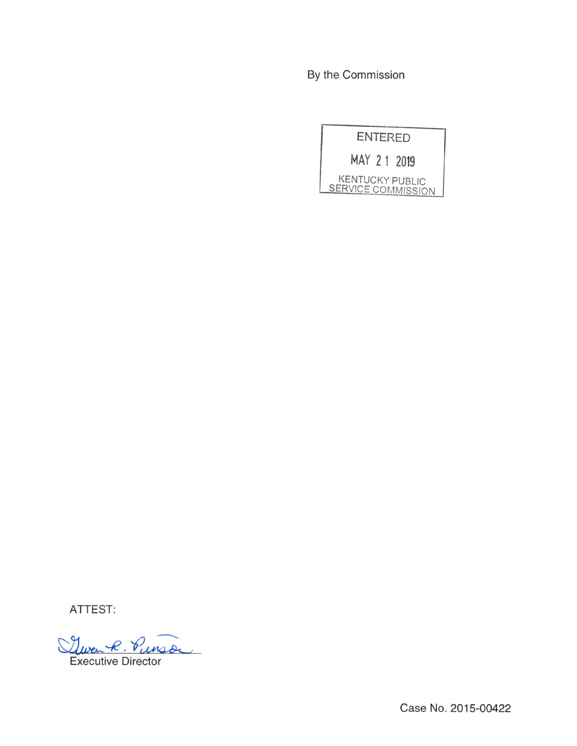By the Commission



ATTEST:

Quen R. Punson

Executive Director

Case No. 2015-00422